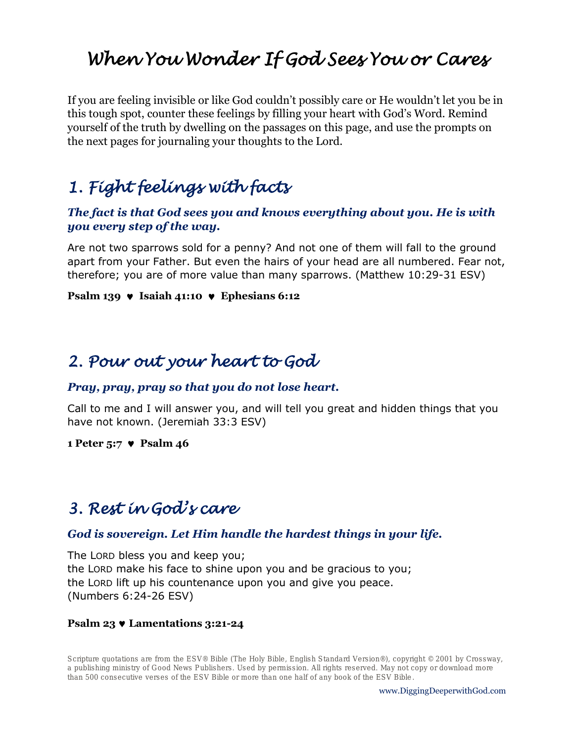# *When You Wonder If God Sees You or Cares*

If you are feeling invisible or like God couldn't possibly care or He wouldn't let you be in this tough spot, counter these feelings by filling your heart with God's Word. Remind yourself of the truth by dwelling on the passages on this page, and use the prompts on the next pages for journaling your thoughts to the Lord.

# *1. Fight feelings with facts*

### *The fact is that God sees you and knows everything about you. He is with you every step of the way.*

Are not two sparrows sold for a penny? And not one of them will fall to the ground apart from your Father. But even the hairs of your head are all numbered. Fear not, therefore; you are of more value than many sparrows. (Matthew 10:29-31 ESV)

### **Psalm 139 v** Isaiah 41:10 **v** Ephesians 6:12

## *2. Pour out your heart to God*

### *Pray, pray, pray so that you do not lose heart.*

Call to me and I will answer you, and will tell you great and hidden things that you have not known. (Jeremiah 33:3 ESV)

#### **1 Peter 5:7 Psalm 46**

## *3. Rest in God's care*

### *God is sovereign. Let Him handle the hardest things in your life.*

The LORD bless you and keep you; the LORD make his face to shine upon you and be gracious to you; the LORD lift up his countenance upon you and give you peace. (Numbers 6:24-26 ESV)

#### **Psalm 23 Lamentations 3:21-24**

**Scripture quotations are from the ESV® Bible (The Holy Bible, English Standard Version®), copyright © 2001 by Crossway, a publishing ministry of Good News Publishers. Used by permission. All rights reserved. May not copy or download more than 500 consecutive verses of the ESV Bible or more than one half of any book of the ESV Bible.**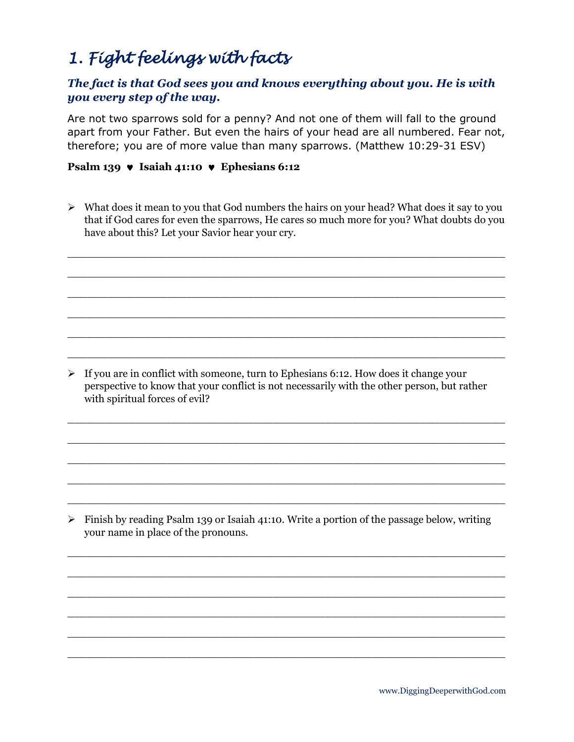# *1. Fight feelings with facts*

## *The fact is that God sees you and knows everything about you. He is with you every step of the way.*

Are not two sparrows sold for a penny? And not one of them will fall to the ground apart from your Father. But even the hairs of your head are all numbered. Fear not, therefore; you are of more value than many sparrows. (Matthew 10:29-31 ESV)

### **Psalm 139 • Isaiah 41:10** • Ephesians 6:12

 $\triangleright$  What does it mean to you that God numbers the hairs on your head? What does it say to you that if God cares for even the sparrows, He cares so much more for you? What doubts do you have about this? Let your Savior hear your cry.

 $\overline{a_1}$  ,  $\overline{a_2}$  ,  $\overline{a_3}$  ,  $\overline{a_4}$  ,  $\overline{a_5}$  ,  $\overline{a_6}$  ,  $\overline{a_7}$  ,  $\overline{a_8}$  ,  $\overline{a_9}$  ,  $\overline{a_9}$  ,  $\overline{a_9}$  ,  $\overline{a_9}$  ,  $\overline{a_9}$  ,  $\overline{a_9}$  ,  $\overline{a_9}$  ,  $\overline{a_9}$  ,  $\overline{a_9}$  ,

 $\_$  , and the set of the set of the set of the set of the set of the set of the set of the set of the set of the set of the set of the set of the set of the set of the set of the set of the set of the set of the set of th

 $\_$  , and the set of the set of the set of the set of the set of the set of the set of the set of the set of the set of the set of the set of the set of the set of the set of the set of the set of the set of the set of th

 $\_$  , and the set of the set of the set of the set of the set of the set of the set of the set of the set of the set of the set of the set of the set of the set of the set of the set of the set of the set of the set of th

 $\_$  , and the set of the set of the set of the set of the set of the set of the set of the set of the set of the set of the set of the set of the set of the set of the set of the set of the set of the set of the set of th

 $\_$  , and the set of the set of the set of the set of the set of the set of the set of the set of the set of the set of the set of the set of the set of the set of the set of the set of the set of the set of the set of th

 $\overline{a_1}$  ,  $\overline{a_2}$  ,  $\overline{a_3}$  ,  $\overline{a_4}$  ,  $\overline{a_5}$  ,  $\overline{a_6}$  ,  $\overline{a_7}$  ,  $\overline{a_8}$  ,  $\overline{a_9}$  ,  $\overline{a_9}$  ,  $\overline{a_9}$  ,  $\overline{a_9}$  ,  $\overline{a_9}$  ,  $\overline{a_9}$  ,  $\overline{a_9}$  ,  $\overline{a_9}$  ,  $\overline{a_9}$  ,

 $\_$  , and the set of the set of the set of the set of the set of the set of the set of the set of the set of the set of the set of the set of the set of the set of the set of the set of the set of the set of the set of th

 $\_$  , and the set of the set of the set of the set of the set of the set of the set of the set of the set of the set of the set of the set of the set of the set of the set of the set of the set of the set of the set of th

 $\_$  , and the set of the set of the set of the set of the set of the set of the set of the set of the set of the set of the set of the set of the set of the set of the set of the set of the set of the set of the set of th

 $\_$  , and the set of the set of the set of the set of the set of the set of the set of the set of the set of the set of the set of the set of the set of the set of the set of the set of the set of the set of the set of th

 $\_$  , and the set of the set of the set of the set of the set of the set of the set of the set of the set of the set of the set of the set of the set of the set of the set of the set of the set of the set of the set of th

 $\_$  , and the set of the set of the set of the set of the set of the set of the set of the set of the set of the set of the set of the set of the set of the set of the set of the set of the set of the set of the set of th

 $\_$  , and the set of the set of the set of the set of the set of the set of the set of the set of the set of the set of the set of the set of the set of the set of the set of the set of the set of the set of the set of th

 $\_$  , and the set of the set of the set of the set of the set of the set of the set of the set of the set of the set of the set of the set of the set of the set of the set of the set of the set of the set of the set of th

 $\_$  , and the set of the set of the set of the set of the set of the set of the set of the set of the set of the set of the set of the set of the set of the set of the set of the set of the set of the set of the set of th

 $\_$  , and the set of the set of the set of the set of the set of the set of the set of the set of the set of the set of the set of the set of the set of the set of the set of the set of the set of the set of the set of th

 $\triangleright$  If you are in conflict with someone, turn to Ephesians 6:12. How does it change your perspective to know that your conflict is not necessarily with the other person, but rather with spiritual forces of evil?

➢ Finish by reading Psalm 139 or Isaiah 41:10. Write a portion of the passage below, writing your name in place of the pronouns.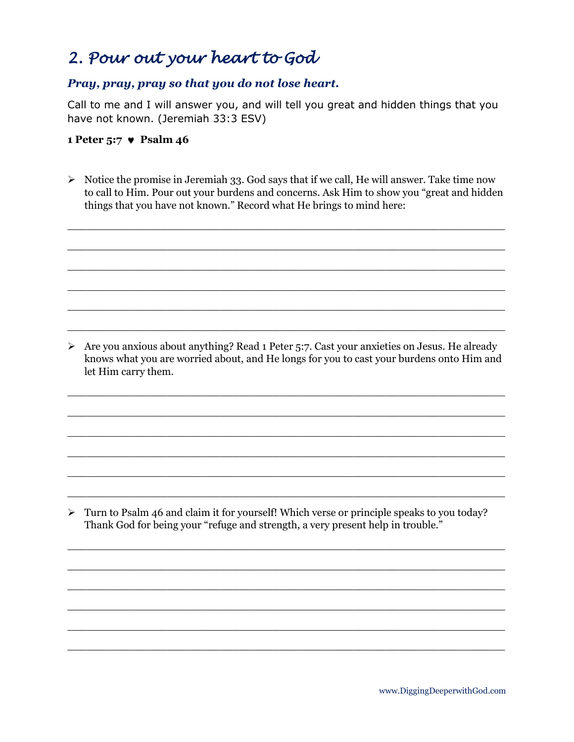# *2. Pour out your heart to God*

### *Pray, pray, pray so that you do not lose heart.*

Call to me and I will answer you, and will tell you great and hidden things that you have not known. (Jeremiah 33:3 ESV)

### **1 Peter 5:7 Psalm 46**

 $\triangleright$  Notice the promise in Jeremiah 33. God says that if we call, He will answer. Take time now to call to Him. Pour out your burdens and concerns. Ask Him to show you "great and hidden things that you have not known." Record what He brings to mind here:

 $\_$  , and the set of the set of the set of the set of the set of the set of the set of the set of the set of the set of the set of the set of the set of the set of the set of the set of the set of the set of the set of th

 $\_$  , and the set of the set of the set of the set of the set of the set of the set of the set of the set of the set of the set of the set of the set of the set of the set of the set of the set of the set of the set of th

 $\_$  , and the set of the set of the set of the set of the set of the set of the set of the set of the set of the set of the set of the set of the set of the set of the set of the set of the set of the set of the set of th

 $\_$  , and the set of the set of the set of the set of the set of the set of the set of the set of the set of the set of the set of the set of the set of the set of the set of the set of the set of the set of the set of th

 $\_$  , and the set of the set of the set of the set of the set of the set of the set of the set of the set of the set of the set of the set of the set of the set of the set of the set of the set of the set of the set of th

 $\overline{a_1}$  ,  $\overline{a_2}$  ,  $\overline{a_3}$  ,  $\overline{a_4}$  ,  $\overline{a_5}$  ,  $\overline{a_6}$  ,  $\overline{a_7}$  ,  $\overline{a_8}$  ,  $\overline{a_9}$  ,  $\overline{a_9}$  ,  $\overline{a_9}$  ,  $\overline{a_9}$  ,  $\overline{a_9}$  ,  $\overline{a_9}$  ,  $\overline{a_9}$  ,  $\overline{a_9}$  ,  $\overline{a_9}$  ,

➢ Are you anxious about anything? Read 1 Peter 5:7. Cast your anxieties on Jesus. He already knows what you are worried about, and He longs for you to cast your burdens onto Him and let Him carry them.

 $\_$  , and the set of the set of the set of the set of the set of the set of the set of the set of the set of the set of the set of the set of the set of the set of the set of the set of the set of the set of the set of th

 $\_$  , and the set of the set of the set of the set of the set of the set of the set of the set of the set of the set of the set of the set of the set of the set of the set of the set of the set of the set of the set of th

 $\_$  , and the set of the set of the set of the set of the set of the set of the set of the set of the set of the set of the set of the set of the set of the set of the set of the set of the set of the set of the set of th

 $\_$  , and the set of the set of the set of the set of the set of the set of the set of the set of the set of the set of the set of the set of the set of the set of the set of the set of the set of the set of the set of th

 $\_$  , and the set of the set of the set of the set of the set of the set of the set of the set of the set of the set of the set of the set of the set of the set of the set of the set of the set of the set of the set of th

 $\overline{a_1}$  ,  $\overline{a_2}$  ,  $\overline{a_3}$  ,  $\overline{a_4}$  ,  $\overline{a_5}$  ,  $\overline{a_6}$  ,  $\overline{a_7}$  ,  $\overline{a_8}$  ,  $\overline{a_9}$  ,  $\overline{a_9}$  ,  $\overline{a_9}$  ,  $\overline{a_9}$  ,  $\overline{a_9}$  ,  $\overline{a_9}$  ,  $\overline{a_9}$  ,  $\overline{a_9}$  ,  $\overline{a_9}$  ,

 $\_$  , and the set of the set of the set of the set of the set of the set of the set of the set of the set of the set of the set of the set of the set of the set of the set of the set of the set of the set of the set of th

 $\overline{a_1}$  ,  $\overline{a_2}$  ,  $\overline{a_3}$  ,  $\overline{a_4}$  ,  $\overline{a_5}$  ,  $\overline{a_6}$  ,  $\overline{a_7}$  ,  $\overline{a_8}$  ,  $\overline{a_9}$  ,  $\overline{a_9}$  ,  $\overline{a_9}$  ,  $\overline{a_9}$  ,  $\overline{a_9}$  ,  $\overline{a_9}$  ,  $\overline{a_9}$  ,  $\overline{a_9}$  ,  $\overline{a_9}$  ,

 $\_$  , and the set of the set of the set of the set of the set of the set of the set of the set of the set of the set of the set of the set of the set of the set of the set of the set of the set of the set of the set of th

 $\_$  , and the set of the set of the set of the set of the set of the set of the set of the set of the set of the set of the set of the set of the set of the set of the set of the set of the set of the set of the set of th

 $\_$  , and the set of the set of the set of the set of the set of the set of the set of the set of the set of the set of the set of the set of the set of the set of the set of the set of the set of the set of the set of th

 $\_$  , and the set of the set of the set of the set of the set of the set of the set of the set of the set of the set of the set of the set of the set of the set of the set of the set of the set of the set of the set of th

➢ Turn to Psalm 46 and claim it for yourself! Which verse or principle speaks to you today? Thank God for being your "refuge and strength, a very present help in trouble."